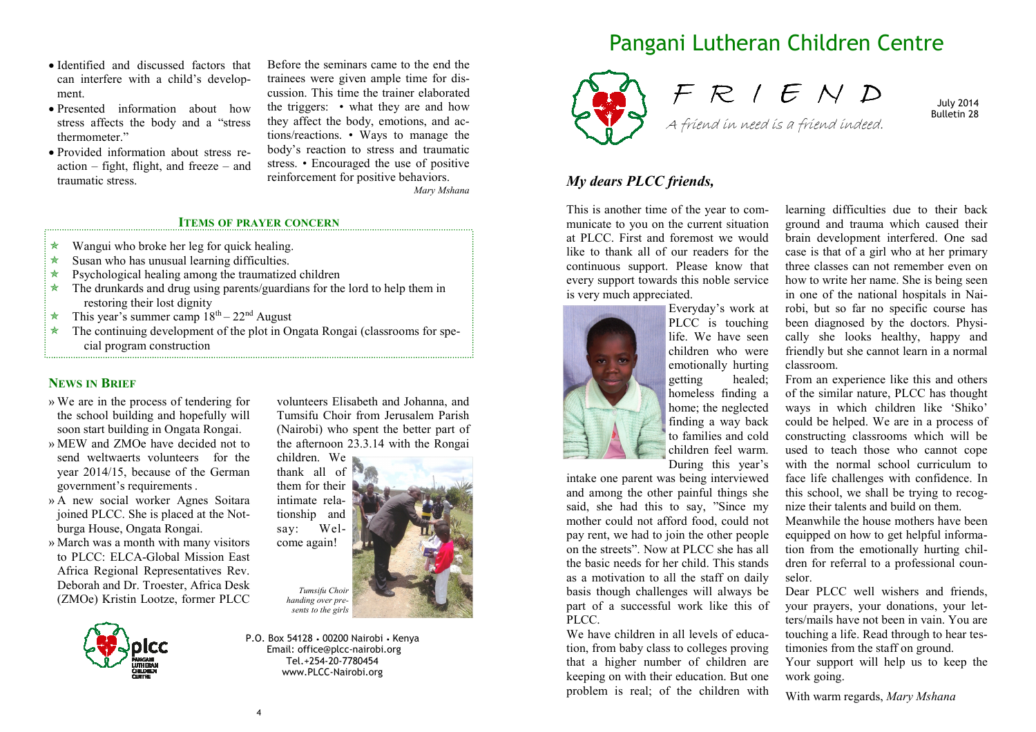- Identified and discussed factors that can interfere with a child's development.
- Presented information about how stress affects the body and a "stress thermometer."
- Provided information about stress reaction – fight, flight, and freeze – and traumatic stress.

Before the seminars came to the end the trainees were given ample time for discussion. This time the trainer elaborated the triggers: • what they are and how they affect the body, emotions, and actions/reactions. • Ways to manage the body's reaction to stress and traumatic stress. • Encouraged the use of positive reinforcement for positive behaviors. *Mary Mshana* 

#### **ITEMS OF PRAYER CONCERN**

- $\star$ Wangui who broke her leg for quick healing.
- $\star$ Susan who has unusual learning difficulties.
- $\star$ Psychological healing among the traumatized children
- \* The drunkards and drug using parents/guardians for the lord to help them in restoring their lost dignity
- $\star$ This year's summer camp  $18<sup>th</sup> - 22<sup>nd</sup>$  August
- $\star$  The continuing development of the plot in Ongata Rongai (classrooms for spe cial program construction

## **NEWS IN BRIEF**

- » We are in the process of tendering for the school building and hopefully will soon start building in Ongata Rongai.
- » MEW and ZMOe have decided not to send weltwaerts volunteers for the year 2014/15, because of the German government's requirements .
- » A new social worker Agnes Soitara joined PLCC. She is placed at the Notburga House, Ongata Rongai.
- » March was a month with many visitors to PLCC: ELCA-Global Mission East Africa Regional Representatives Rev. Deborah and Dr. Troester, Africa Desk (ZMOe) Kristin Lootze, former PLCC



volunteers Elisabeth and Johanna, and Tumsifu Choir from Jerusalem Parish (Nairobi) who spent the better part of the afternoon 23.3.14 with the Rongai

children. We thank all of them for their intimate relationship and say: Welcome again! *Tumsifu Choir handing over presents to the girls*

P.O. Box 54128 • 00200 Nairobi • Kenya Email: office@plcc-nairobi.org Tel.+254-20-7780454 www.PLCC-Nairobi.org

# Pangani Lutheran Children Centre



F R I E N D A friend in need is a friend indeed.

July 2014 Bulletin 28

## *My dears PLCC friends,*

This is another time of the year to communicate to you on the current situation at PLCC. First and foremost we would like to thank all of our readers for the continuous support. Please know that every support towards this noble service is very much appreciated.



Everyday's work at PLCC is touching life. We have seen children who were emotionally hurting getting healed; homeless finding a home; the neglected finding a way back to families and cold children feel warm. During this year's

intake one parent was being interviewed and among the other painful things she said, she had this to say, "Since my mother could not afford food, could not pay rent, we had to join the other people on the streets". Now at PLCC she has all the basic needs for her child. This stands as a motivation to all the staff on daily basis though challenges will always be part of a successful work like this of PLCC.

We have children in all levels of education, from baby class to colleges proving that a higher number of children are keeping on with their education. But one problem is real; of the children with

learning difficulties due to their back ground and trauma which caused their brain development interfered. One sad case is that of a girl who at her primary three classes can not remember even on how to write her name. She is being seen in one of the national hospitals in Nairobi, but so far no specific course has been diagnosed by the doctors. Physically she looks healthy, happy and friendly but she cannot learn in a normal classroom.

From an experience like this and others of the similar nature, PLCC has thought ways in which children like 'Shiko' could be helped. We are in a process of constructing classrooms which will be used to teach those who cannot cope with the normal school curriculum to face life challenges with confidence. In this school, we shall be trying to recognize their talents and build on them.

Meanwhile the house mothers have been equipped on how to get helpful information from the emotionally hurting children for referral to a professional counselor.

Dear PLCC well wishers and friends, your prayers, your donations, your letters/mails have not been in vain. You are touching a life. Read through to hear testimonies from the staff on ground. Your support will help us to keep the

work going.

With warm regards, *Mary Mshana*